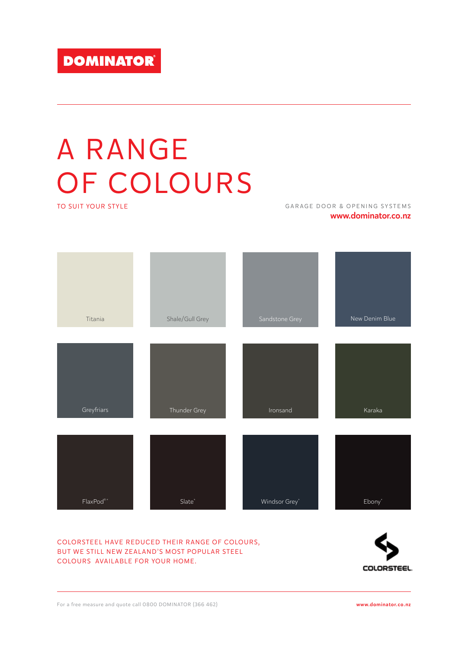# A RANGE OF COLOURS

TO SUIT YOUR STYLE

GARAGE DOOR & OPENING SYSTEMS www.dominator.co.nz

| Titania                                            | Shale/Gull Grey    | Sandstone Grey | New Denim Blue |
|----------------------------------------------------|--------------------|----------------|----------------|
|                                                    |                    |                |                |
|                                                    |                    |                |                |
| Greyfriars                                         | Thunder Grey       | Ironsand       | Karaka         |
|                                                    |                    |                |                |
|                                                    |                    |                |                |
| $\mathsf{FlaxPod}^{\scriptscriptstyle{\circ}\ast}$ | $\mathsf{Slate}^*$ | Windsor Grey*  | $Ebony^*$      |

# COLORSTEEL HAVE REDUCED THEIR RANGE OF COLOURS, BUT WE STILL NEW ZEALAND'S MOST POPULAR STEEL COLOURS AVAILABLE FOR YOUR HOME.